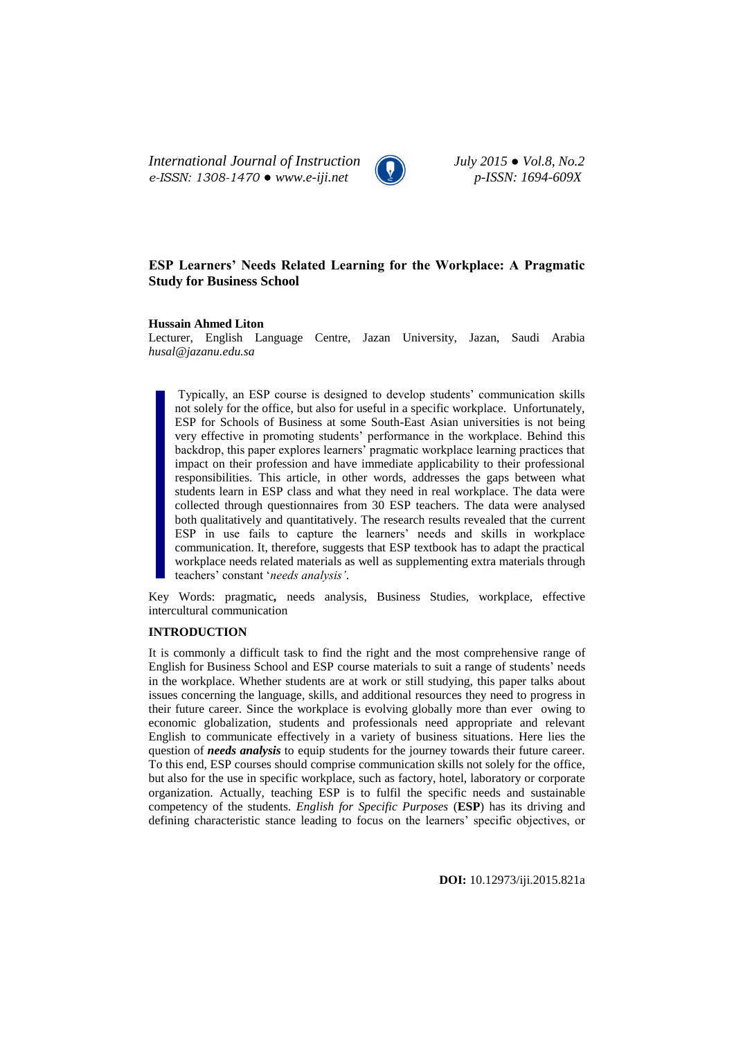*International Journal of Instruction July 2015 ● Vol.8, No.2 e-ISSN: 1308-1470 ● www.e-iji.net p-ISSN: 1694-609X*



# **ESP Learners' Needs Related Learning for the Workplace: A Pragmatic Study for Business School**

## **Hussain Ahmed Liton**

Lecturer, English Language Centre, Jazan University, Jazan, Saudi Arabia *[husal@jazanu.edu.sa](mailto:husal@jazanu.edu.sa)*

Typically, an ESP course is designed to develop students' communication skills not solely for the office, but also for useful in a specific workplace. Unfortunately, ESP for Schools of Business at some South-East Asian universities is not being very effective in promoting students' performance in the workplace. Behind this backdrop, this paper explores learners' pragmatic workplace learning practices that impact on their profession and have immediate applicability to their professional responsibilities. This article, in other words, addresses the gaps between what students learn in ESP class and what they need in real workplace. The data were collected through questionnaires from 30 ESP teachers*.* The data were analysed both qualitatively and quantitatively. The research results revealed that the current ESP in use fails to capture the learners' needs and skills in workplace communication. It, therefore, suggests that ESP textbook has to adapt the practical workplace needs related materials as well as supplementing extra materials through teachers' constant '*needs analysis'*.

Key Words: pragmatic*,* needs analysis, Business Studies, workplace, effective intercultural communication

## **INTRODUCTION**

It is commonly a difficult task to find the right and the most comprehensive range of English for Business School and ESP course materials to suit a range of students' needs in the workplace. Whether students are at work or still studying, this paper talks about issues concerning the language, skills, and additional resources they need to progress in their future career. Since the workplace is evolving globally more than ever owing to economic globalization, students and professionals need appropriate and relevant English to communicate effectively in a variety of business situations. Here lies the question of *needs analysis* to equip students for the journey towards their future career. To this end, ESP courses should comprise communication skills not solely for the office, but also for the use in specific workplace, such as factory, hotel, laboratory or corporate organization. Actually, teaching ESP is to fulfil the specific needs and sustainable competency of the students. *English for Specific Purposes* (**ESP**) has its driving and defining characteristic stance leading to focus on the learners' specific objectives, or

**DOI:** 10.12973/iji.2015.821a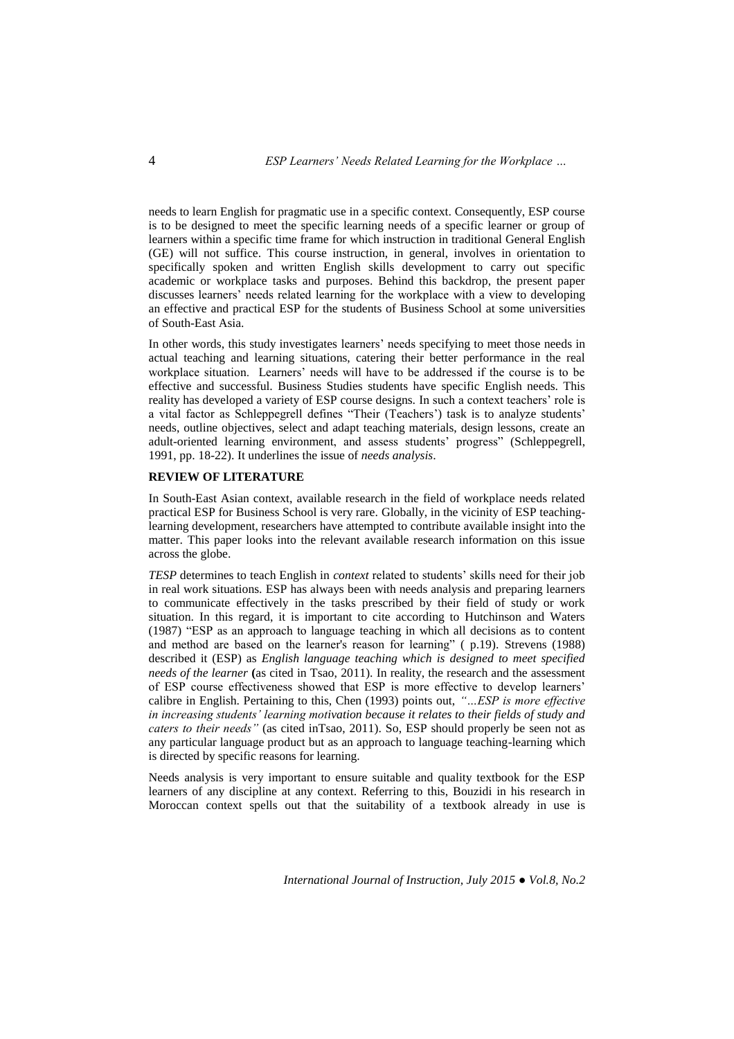needs to learn English for pragmatic use in a specific context. Consequently, ESP course is to be designed to meet the specific learning needs of a specific learner or group of learners within a specific time frame for which instruction in traditional General English (GE) will not suffice. This course instruction, in general, involves in orientation to specifically spoken and written English skills development to carry out specific academic or workplace tasks and purposes. Behind this backdrop, the present paper discusses learners' needs related learning for the workplace with a view to developing an effective and practical ESP for the students of Business School at some universities of South-East Asia.

In other words, this study investigates learners' needs specifying to meet those needs in actual teaching and learning situations, catering their better performance in the real workplace situation. Learners' needs will have to be addressed if the course is to be effective and successful. Business Studies students have specific English needs. This reality has developed a variety of ESP course designs. In such a context teachers' role is a vital factor as Schleppegrell defines "Their (Teachers') task is to analyze students' needs, outline objectives, select and adapt teaching materials, design lessons, create an adult-oriented learning environment, and assess students' progress" (Schleppegrell, 1991, pp. 18-22). It underlines the issue of *needs analysis*.

## **REVIEW OF LITERATURE**

In South-East Asian context, available research in the field of workplace needs related practical ESP for Business School is very rare. Globally, in the vicinity of ESP teachinglearning development, researchers have attempted to contribute available insight into the matter. This paper looks into the relevant available research information on this issue across the globe.

*TESP* determines to teach English in *context* related to students' skills need for their job in real work situations. ESP has always been with needs analysis and preparing learners to communicate effectively in the tasks prescribed by their field of study or work situation. In this regard, it is important to cite according to Hutchinson and Waters (1987) "ESP as an approach to language teaching in which all decisions as to content and method are based on the learner's reason for learning" ( p.19). Strevens (1988) described it (ESP) as *English language teaching which is designed to meet specified needs of the learner* **(**as cited in Tsao, 2011). In reality, the research and the assessment of ESP course effectiveness showed that ESP is more effective to develop learners' calibre in English. Pertaining to this, Chen (1993) points out, *"…ESP is more effective in increasing students' learning motivation because it relates to their fields of study and caters to their needs"* (as cited inTsao, 2011). So, ESP should properly be seen not as any particular language product but as an approach to language teaching-learning which is directed by specific reasons for learning.

Needs analysis is very important to ensure suitable and quality textbook for the ESP learners of any discipline at any context. Referring to this, Bouzidi in his research in Moroccan context spells out that the suitability of a textbook already in use is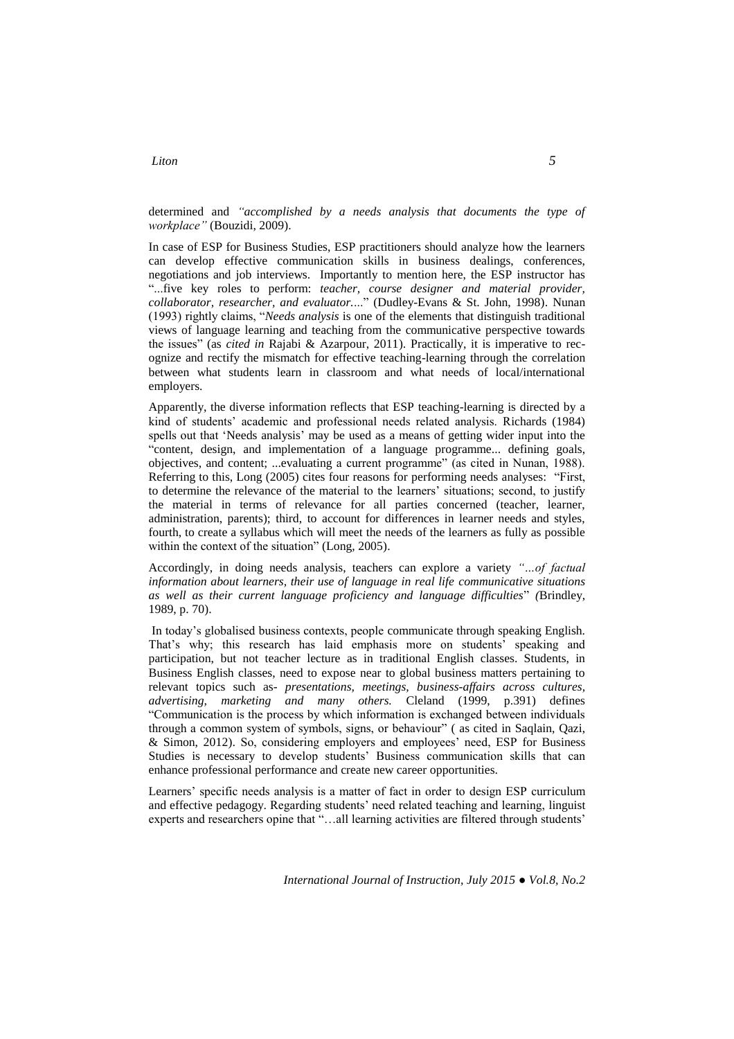# determined and *"accomplished by a needs analysis that documents the type of workplace"* (Bouzidi, 2009).

In case of ESP for Business Studies, ESP practitioners should analyze how the learners can develop effective communication skills in business dealings, conferences, negotiations and job interviews. Importantly to mention here, the ESP instructor has "...five key roles to perform: *teacher, course designer and material provider, collaborator, researcher, and evaluator.*..." (Dudley-Evans & St. John, 1998). Nunan (1993) rightly claims, "*Needs analysis* is one of the elements that distinguish traditional views of language learning and teaching from the communicative perspective towards the issues" (as *cited in* Rajabi & Azarpour, 2011). Practically, it is imperative to recognize and rectify the mismatch for effective teaching-learning through the correlation between what students learn in classroom and what needs of local/international employers.

Apparently, the diverse information reflects that ESP teaching-learning is directed by a kind of students' academic and professional needs related analysis. Richards (1984) spells out that 'Needs analysis' may be used as a means of getting wider input into the "content, design, and implementation of a language programme... defining goals, objectives, and content; ...evaluating a current programme" (as cited in Nunan, 1988). Referring to this, Long (2005) cites four reasons for performing needs analyses: "First, to determine the relevance of the material to the learners' situations; second, to justify the material in terms of relevance for all parties concerned (teacher, learner, administration, parents); third, to account for differences in learner needs and styles, fourth, to create a syllabus which will meet the needs of the learners as fully as possible within the context of the situation" (Long, 2005).

Accordingly, in doing needs analysis, teachers can explore a variety *"…of factual information about learners, their use of language in real life communicative situations as well as their current language proficiency and language difficulties*" *(*Brindley, 1989, p. 70).

In today's globalised business contexts, people communicate through speaking English. That's why; this research has laid emphasis more on students' speaking and participation, but not teacher lecture as in traditional English classes. Students, in Business English classes, need to expose near to global business matters pertaining to relevant topics such as- *presentations, meetings, business-affairs across cultures, advertising, marketing and many others.* Cleland (1999, p.391) defines "Communication is the process by which information is exchanged between individuals through a common system of symbols, signs, or behaviour" ( as cited in Saqlain, Qazi, & Simon, 2012). So, considering employers and employees' need, ESP for Business Studies is necessary to develop students' Business communication skills that can enhance professional performance and create new career opportunities.

Learners' specific needs analysis is a matter of fact in order to design ESP curriculum and effective pedagogy. Regarding students' need related teaching and learning, linguist experts and researchers opine that "…all learning activities are filtered through students'

# *Liton 5*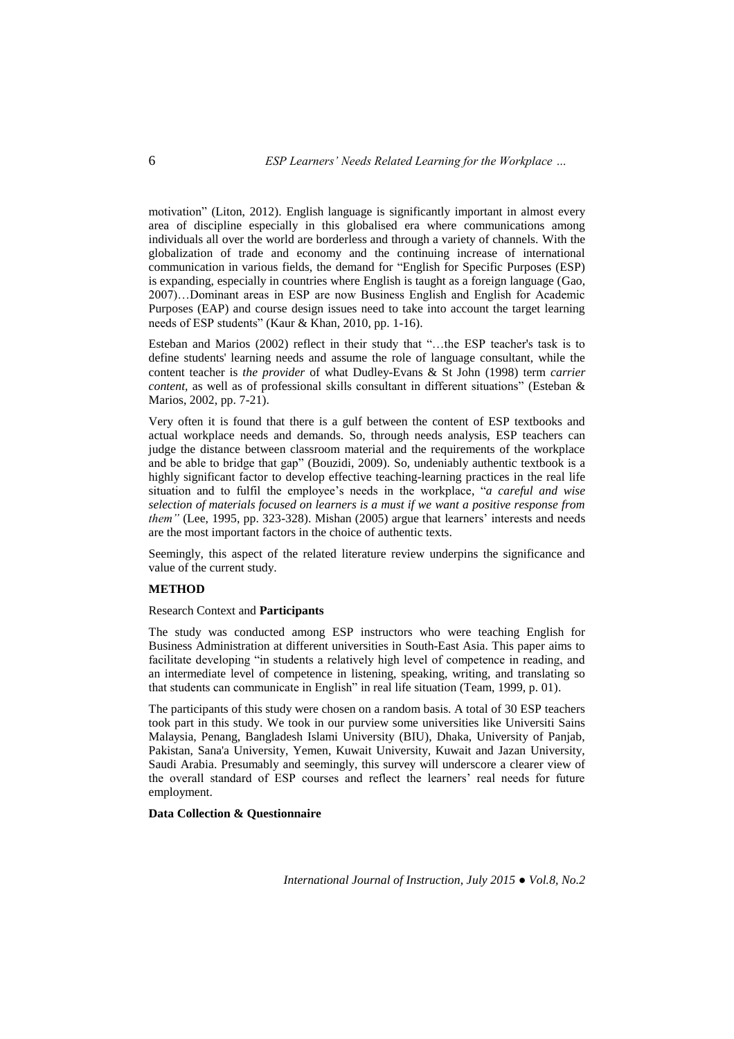motivation" (Liton, 2012). English language is significantly important in almost every area of discipline especially in this globalised era where communications among individuals all over the world are borderless and through a variety of channels. With the globalization of trade and economy and the continuing increase of international communication in various fields, the demand for "English for Specific Purposes (ESP) is expanding, especially in countries where English is taught as a foreign language (Gao, 2007)…Dominant areas in ESP are now Business English and English for Academic Purposes (EAP) and course design issues need to take into account the target learning needs of ESP students" (Kaur & Khan, 2010, pp. 1-16).

Esteban and Marios (2002) reflect in their study that "…the ESP teacher's task is to define students' learning needs and assume the role of language consultant, while the content teacher is *the provider* of what Dudley-Evans & St John (1998) term *carrier content,* as well as of professional skills consultant in different situations" (Esteban & Marios, 2002, pp. 7-21).

Very often it is found that there is a gulf between the content of ESP textbooks and actual workplace needs and demands. So, through needs analysis, ESP teachers can judge the distance between classroom material and the requirements of the workplace and be able to bridge that gap" (Bouzidi, 2009). So, undeniably authentic textbook is a highly significant factor to develop effective teaching-learning practices in the real life situation and to fulfil the employee's needs in the workplace, "*a careful and wise selection of materials focused on learners is a must if we want a positive response from them"* (Lee, 1995, pp. 323-328). Mishan (2005) argue that learners' interests and needs are the most important factors in the choice of authentic texts.

Seemingly, this aspect of the related literature review underpins the significance and value of the current study.

# **METHOD**

## Research Context and **Participants**

The study was conducted among ESP instructors who were teaching English for Business Administration at different universities in South-East Asia. This paper aims to facilitate developing "in students a relatively high level of competence in reading, and an intermediate level of competence in listening, speaking, writing, and translating so that students can communicate in English" in real life situation (Team, 1999, p. 01).

The participants of this study were chosen on a random basis. A total of 30 ESP teachers took part in this study. We took in our purview some universities like Universiti Sains Malaysia, Penang, Bangladesh Islami University (BIU), Dhaka, University of Panjab, Pakistan, Sana'a University, Yemen, Kuwait University, Kuwait and Jazan University, Saudi Arabia. Presumably and seemingly, this survey will underscore a clearer view of the overall standard of ESP courses and reflect the learners' real needs for future employment.

# **Data Collection & Questionnaire**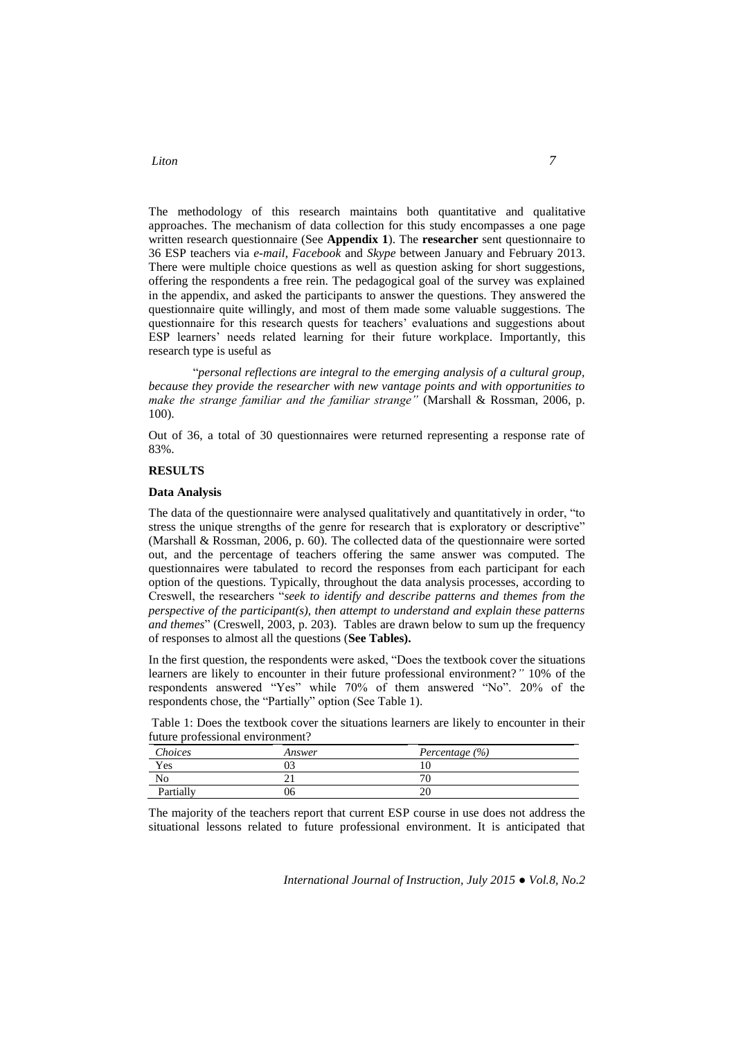# *Liton 7*

The methodology of this research maintains both quantitative and qualitative approaches. The mechanism of data collection for this study encompasses a one page written research questionnaire (See **Appendix 1**). The **researcher** sent questionnaire to 36 ESP teachers via *e-mail*, *Facebook* and *Skype* between January and February 2013. There were multiple choice questions as well as question asking for short suggestions, offering the respondents a free rein. The pedagogical goal of the survey was explained in the appendix, and asked the participants to answer the questions. They answered the questionnaire quite willingly, and most of them made some valuable suggestions. The questionnaire for this research quests for teachers' evaluations and suggestions about ESP learners' needs related learning for their future workplace. Importantly, this research type is useful as

"*personal reflections are integral to the emerging analysis of a cultural group, because they provide the researcher with new vantage points and with opportunities to make the strange familiar and the familiar strange"* (Marshall & Rossman, 2006, p. 100).

Out of 36, a total of 30 questionnaires were returned representing a response rate of 83%.

## **RESULTS**

#### **Data Analysis**

The data of the questionnaire were analysed qualitatively and quantitatively in order, "to stress the unique strengths of the genre for research that is exploratory or descriptive" (Marshall & Rossman, 2006, p. 60). The collected data of the questionnaire were sorted out, and the percentage of teachers offering the same answer was computed. The questionnaires were tabulated to record the responses from each participant for each option of the questions. Typically, throughout the data analysis processes, according to Creswell, the researchers "*seek to identify and describe patterns and themes from the perspective of the participant(s), then attempt to understand and explain these patterns and themes*" (Creswell, 2003, p. 203). Tables are drawn below to sum up the frequency of responses to almost all the questions (**See Tables).**

In the first question, the respondents were asked, "Does the textbook cover the situations learners are likely to encounter in their future professional environment?*"* 10% of the respondents answered "Yes" while 70% of them answered "No". 20% of the respondents chose, the "Partially" option (See Table 1).

Table 1: Does the textbook cover the situations learners are likely to encounter in their future professional environment?

| Choices   | Answer | Percentage (%) |
|-----------|--------|----------------|
| Yes       |        | ΙU             |
| No        |        | ν              |
| Partially | 06     | ∠∪             |

The majority of the teachers report that current ESP course in use does not address the situational lessons related to future professional environment. It is anticipated that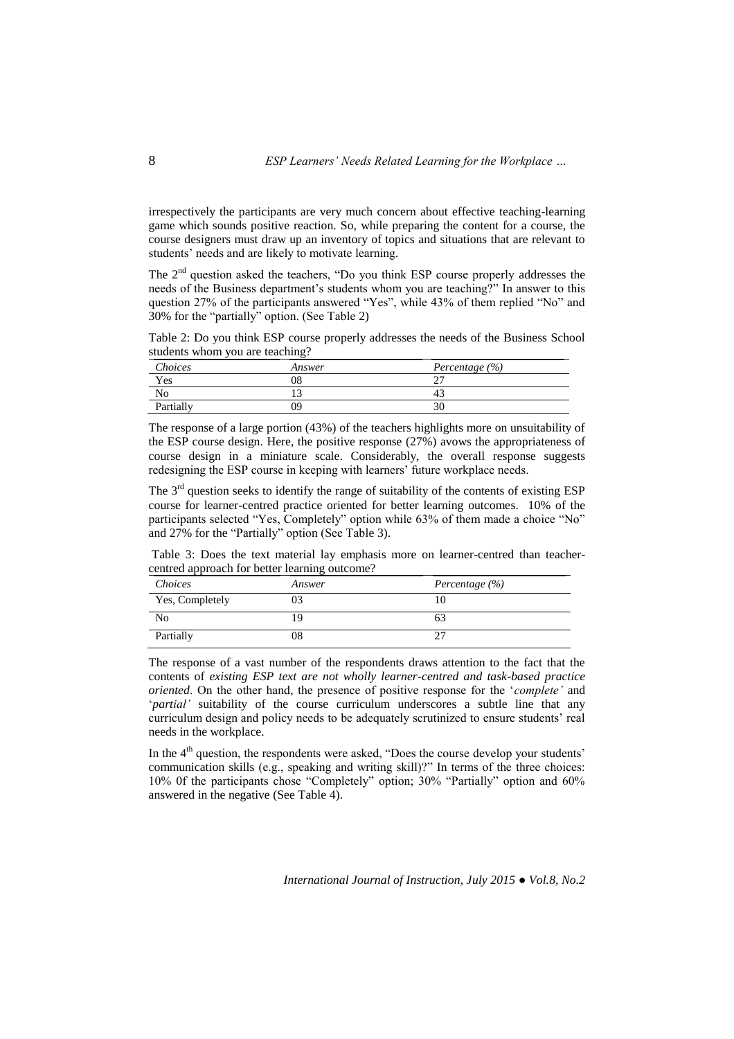irrespectively the participants are very much concern about effective teaching-learning game which sounds positive reaction. So, while preparing the content for a course, the course designers must draw up an inventory of topics and situations that are relevant to students' needs and are likely to motivate learning*.* 

The 2<sup>nd</sup> question asked the teachers, "Do you think ESP course properly addresses the needs of the Business department's students whom you are teaching?" In answer to this question 27% of the participants answered "Yes", while 43% of them replied "No" and 30% for the "partially" option. (See Table 2)

Table 2: Do you think ESP course properly addresses the needs of the Business School students whom you are teaching?

| Choices   | Answer | Percentage $(\% )$ |
|-----------|--------|--------------------|
| Yes       | 08     |                    |
| No        |        | 4.                 |
| Partially | 99     |                    |

The response of a large portion (43%) of the teachers highlights more on unsuitability of the ESP course design. Here, the positive response (27%) avows the appropriateness of course design in a miniature scale. Considerably, the overall response suggests redesigning the ESP course in keeping with learners' future workplace needs.

The  $3<sup>rd</sup>$  question seeks to identify the range of suitability of the contents of existing ESP course for learner-centred practice oriented for better learning outcomes. 10% of the participants selected "Yes, Completely" option while 63% of them made a choice "No" and 27% for the "Partially" option (See Table 3).

Table 3: Does the text material lay emphasis more on learner-centred than teachercentred approach for better learning outcome?

| Choices         | Answer | Percentage $(\% )$ |
|-----------------|--------|--------------------|
| Yes, Completely | 03     |                    |
| No              | 19     | 0.3                |
| Partially       | 08     |                    |

The response of a vast number of the respondents draws attention to the fact that the contents of *existing ESP text are not wholly learner-centred and task-based practice oriented*. On the other hand, the presence of positive response for the '*complete'* and '*partial'* suitability of the course curriculum underscores a subtle line that any curriculum design and policy needs to be adequately scrutinized to ensure students' real needs in the workplace.

In the 4<sup>th</sup> question, the respondents were asked, "Does the course develop your students' communication skills (e.g., speaking and writing skill)?" In terms of the three choices: 10% 0f the participants chose "Completely" option; 30% "Partially" option and 60% answered in the negative (See Table 4).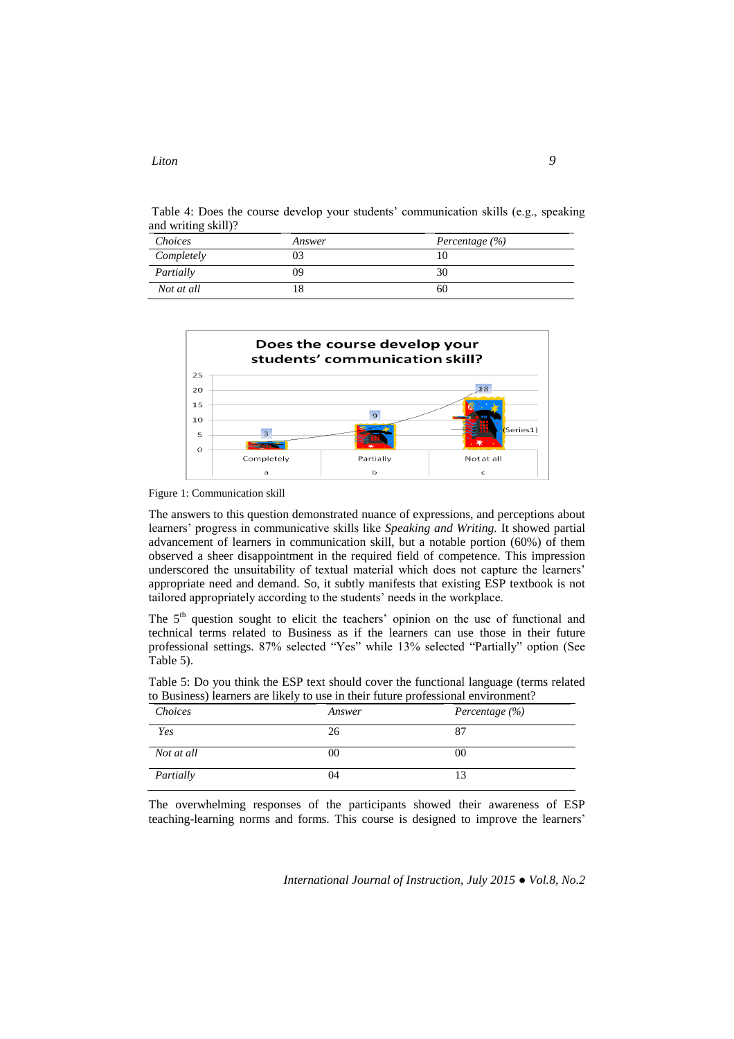# Table 4: Does the course develop your students' communication skills (e.g., speaking and writing skill)?

| Choices    | Answer | Percentage $(\% )$ |
|------------|--------|--------------------|
| Completely | J3     |                    |
| Partially  | 09     |                    |
| Not at all |        | 60                 |



Figure 1: Communication skill

The answers to this question demonstrated nuance of expressions, and perceptions about learners' progress in communicative skills like *Speaking and Writing.* It showed partial advancement of learners in communication skill, but a notable portion (60%) of them observed a sheer disappointment in the required field of competence. This impression underscored the unsuitability of textual material which does not capture the learners' appropriate need and demand. So, it subtly manifests that existing ESP textbook is not tailored appropriately according to the students' needs in the workplace.

The 5<sup>th</sup> question sought to elicit the teachers' opinion on the use of functional and technical terms related to Business as if the learners can use those in their future professional settings. 87% selected "Yes" while 13% selected "Partially" option (See Table 5).

Table 5: Do you think the ESP text should cover the functional language (terms related to Business) learners are likely to use in their future professional environment?

| Choices    | Answer | Percentage $(\% )$ |
|------------|--------|--------------------|
| Yes        | 26     | 87                 |
| Not at all | 00     | 00                 |
| Partially  | 04     |                    |

The overwhelming responses of the participants showed their awareness of ESP teaching-learning norms and forms. This course is designed to improve the learners'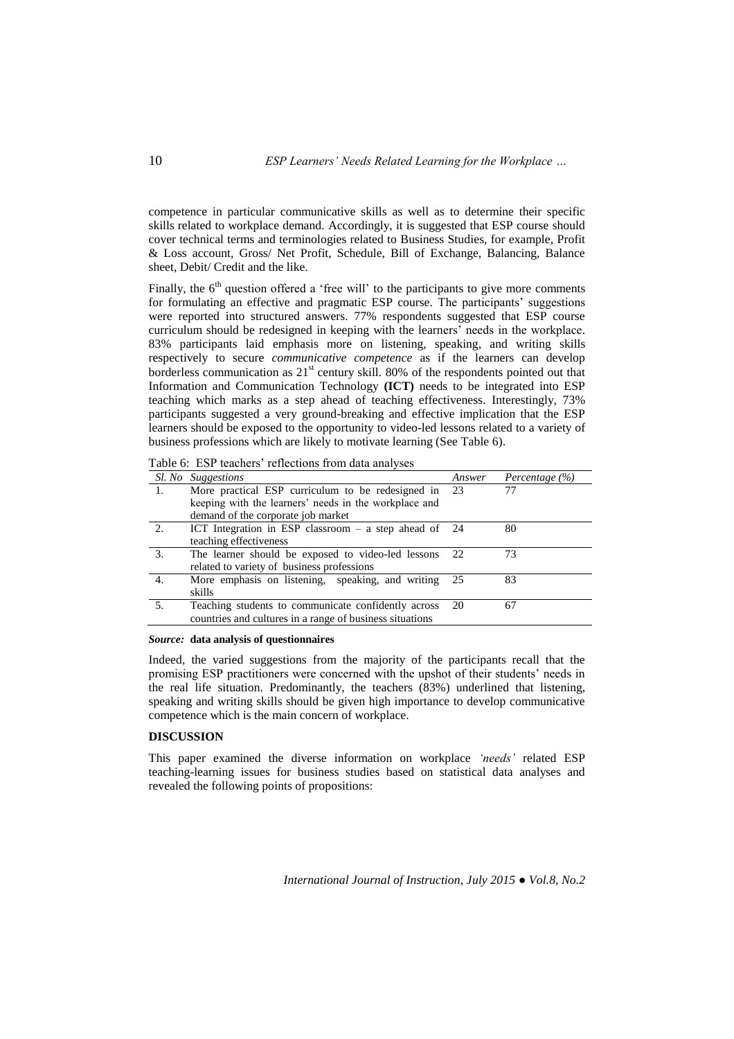competence in particular communicative skills as well as to determine their specific skills related to workplace demand. Accordingly, it is suggested that ESP course should cover technical terms and terminologies related to Business Studies, for example, Profit & Loss account, Gross/ Net Profit, Schedule, Bill of Exchange, Balancing, Balance sheet, Debit/ Credit and the like.

Finally, the  $6<sup>th</sup>$  question offered a 'free will' to the participants to give more comments for formulating an effective and pragmatic ESP course. The participants' suggestions were reported into structured answers. 77% respondents suggested that ESP course curriculum should be redesigned in keeping with the learners' needs in the workplace. 83% participants laid emphasis more on listening, speaking, and writing skills respectively to secure *communicative competence* as if the learners can develop borderless communication as  $21<sup>st</sup>$  century skill. 80% of the respondents pointed out that Information and Communication Technology **(ICT)** needs to be integrated into ESP teaching which marks as a step ahead of teaching effectiveness. Interestingly, 73% participants suggested a very ground-breaking and effective implication that the ESP learners should be exposed to the opportunity to video-led lessons related to a variety of business professions which are likely to motivate learning (See Table 6).

|    | <i>Sl. No Suggestions</i>                                | Answer | Percentage $(\% )$ |
|----|----------------------------------------------------------|--------|--------------------|
|    | More practical ESP curriculum to be redesigned in 23     |        |                    |
|    | keeping with the learners' needs in the workplace and    |        |                    |
|    | demand of the corporate job market                       |        |                    |
| 2. | ICT Integration in ESP classroom $-$ a step ahead of 24  |        | 80                 |
|    | teaching effectiveness                                   |        |                    |
| 3. | The learner should be exposed to video-led lessons       | 22     | 73                 |
|    | related to variety of business professions               |        |                    |
| 4. | More emphasis on listening, speaking, and writing        | -25    | 83                 |
|    | skills                                                   |        |                    |
| 5. | Teaching students to communicate confidently across      | 20     | 67                 |
|    | countries and cultures in a range of business situations |        |                    |
|    |                                                          |        |                    |

Table 6: ESP teachers' reflections from data analyses

### *Source:* **data analysis of questionnaires**

Indeed, the varied suggestions from the majority of the participants recall that the promising ESP practitioners were concerned with the upshot of their students' needs in the real life situation. Predominantly, the teachers (83%) underlined that listening, speaking and writing skills should be given high importance to develop communicative competence which is the main concern of workplace.

# **DISCUSSION**

This paper examined the diverse information on workplace *'needs'* related ESP teaching-learning issues for business studies based on statistical data analyses and revealed the following points of propositions: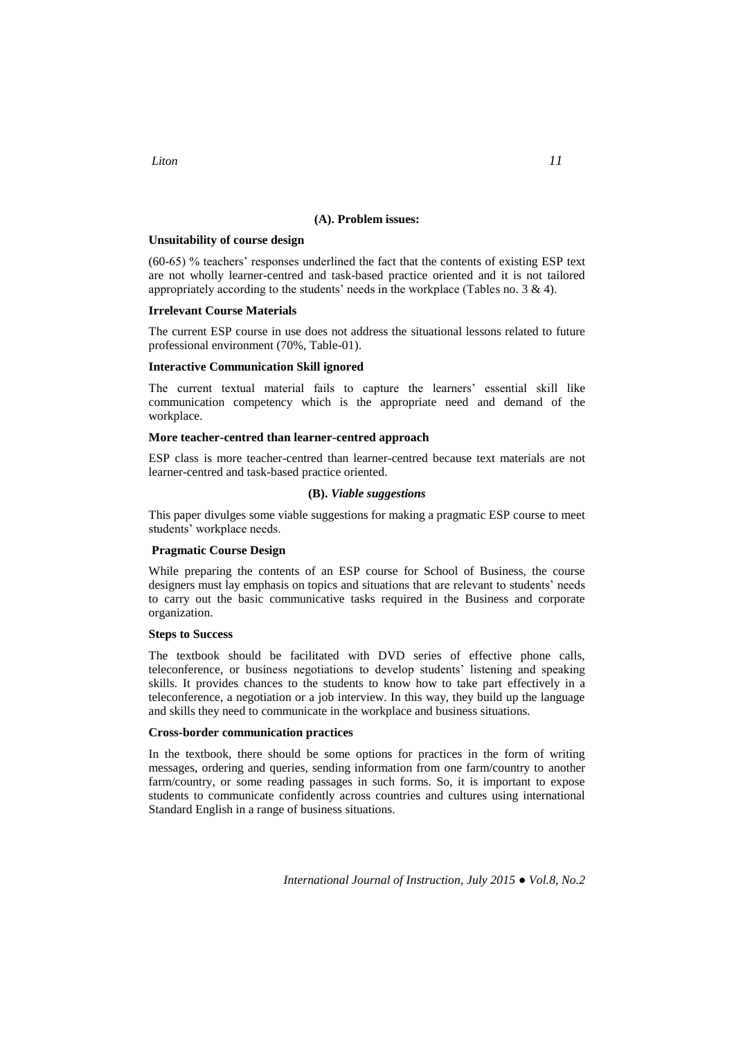## **(A). Problem issues:**

# **Unsuitability of course design**

(60-65) % teachers' responses underlined the fact that the contents of existing ESP text are not wholly learner-centred and task-based practice oriented and it is not tailored appropriately according to the students' needs in the workplace (Tables no. 3 & 4).

## **Irrelevant Course Materials**

The current ESP course in use does not address the situational lessons related to future professional environment (70%, Table-01).

### **Interactive Communication Skill ignored**

The current textual material fails to capture the learners' essential skill like communication competency which is the appropriate need and demand of the workplace.

## **More teacher-centred than learner-centred approach**

ESP class is more teacher-centred than learner-centred because text materials are not learner-centred and task-based practice oriented.

## **(B).** *Viable suggestions*

This paper divulges some viable suggestions for making a pragmatic ESP course to meet students' workplace needs.

# **Pragmatic Course Design**

While preparing the contents of an ESP course for School of Business, the course designers must lay emphasis on topics and situations that are relevant to students' needs to carry out the basic communicative tasks required in the Business and corporate organization.

# **Steps to Success**

The textbook should be facilitated with DVD series of effective phone calls, teleconference, or business negotiations to develop students' listening and speaking skills. It provides chances to the students to know how to take part effectively in a teleconference, a negotiation or a job interview. In this way, they build up the language and skills they need to communicate in the workplace and business situations.

## **Cross-border communication practices**

In the textbook, there should be some options for practices in the form of writing messages, ordering and queries, sending information from one farm/country to another farm/country, or some reading passages in such forms. So, it is important to expose students to communicate confidently across countries and cultures using international Standard English in a range of business situations.

*International Journal of Instruction, July 2015 ● Vol.8, No.2*

*Liton 11*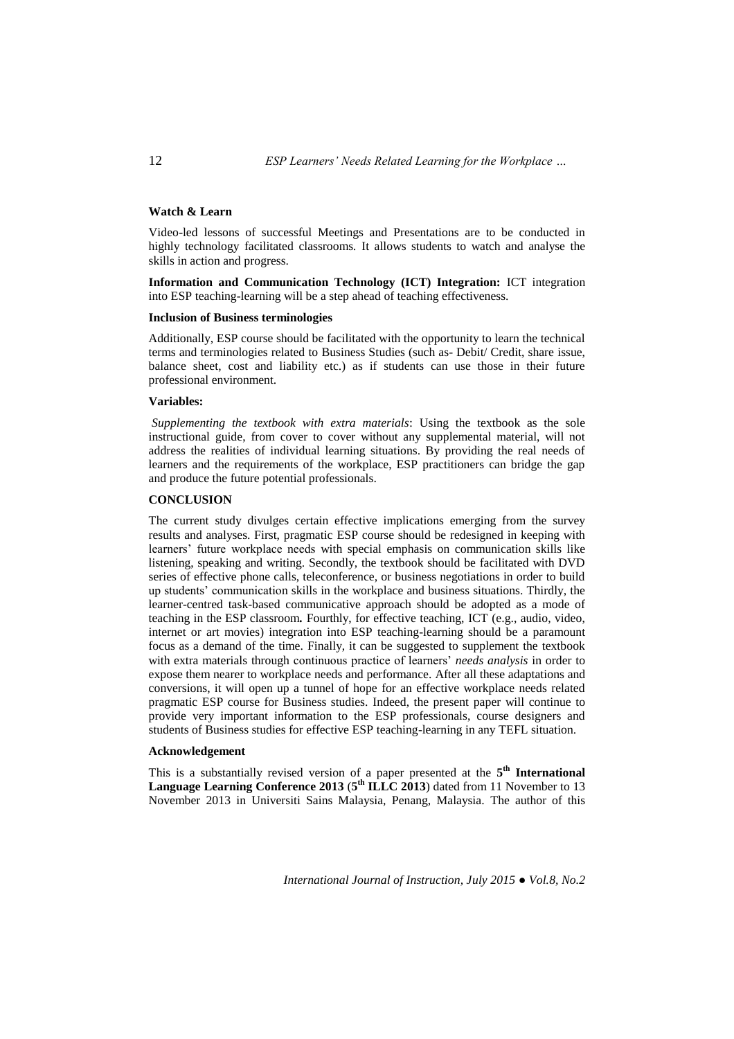## **Watch & Learn**

Video-led lessons of successful Meetings and Presentations are to be conducted in highly technology facilitated classrooms*.* It allows students to watch and analyse the skills in action and progress.

**Information and Communication Technology (ICT) Integration:** ICT integration into ESP teaching-learning will be a step ahead of teaching effectiveness.

### **Inclusion of Business terminologies**

Additionally, ESP course should be facilitated with the opportunity to learn the technical terms and terminologies related to Business Studies (such as- Debit/ Credit, share issue, balance sheet, cost and liability etc.) as if students can use those in their future professional environment.

## **Variables:**

*Supplementing the textbook with extra materials*: Using the textbook as the sole instructional guide, from cover to cover without any supplemental material, will not address the realities of individual learning situations. By providing the real needs of learners and the requirements of the workplace, ESP practitioners can bridge the gap and produce the future potential professionals.

# **CONCLUSION**

The current study divulges certain effective implications emerging from the survey results and analyses. First, pragmatic ESP course should be redesigned in keeping with learners' future workplace needs with special emphasis on communication skills like listening, speaking and writing. Secondly, the textbook should be facilitated with DVD series of effective phone calls, teleconference, or business negotiations in order to build up students' communication skills in the workplace and business situations. Thirdly, the learner-centred task-based communicative approach should be adopted as a mode of teaching in the ESP classroom*.* Fourthly, for effective teaching, ICT (e.g., audio, video, internet or art movies) integration into ESP teaching-learning should be a paramount focus as a demand of the time. Finally, it can be suggested to supplement the textbook with extra materials through continuous practice of learners' *needs analysis* in order to expose them nearer to workplace needs and performance. After all these adaptations and conversions, it will open up a tunnel of hope for an effective workplace needs related pragmatic ESP course for Business studies. Indeed, the present paper will continue to provide very important information to the ESP professionals, course designers and students of Business studies for effective ESP teaching-learning in any TEFL situation.

#### **Acknowledgement**

This is a substantially revised version of a paper presented at the 5<sup>th</sup> International Language Learning Conference 2013 (5<sup>th</sup> ILLC 2013) dated from 11 November to 13 November 2013 in Universiti Sains Malaysia, Penang, Malaysia. The author of this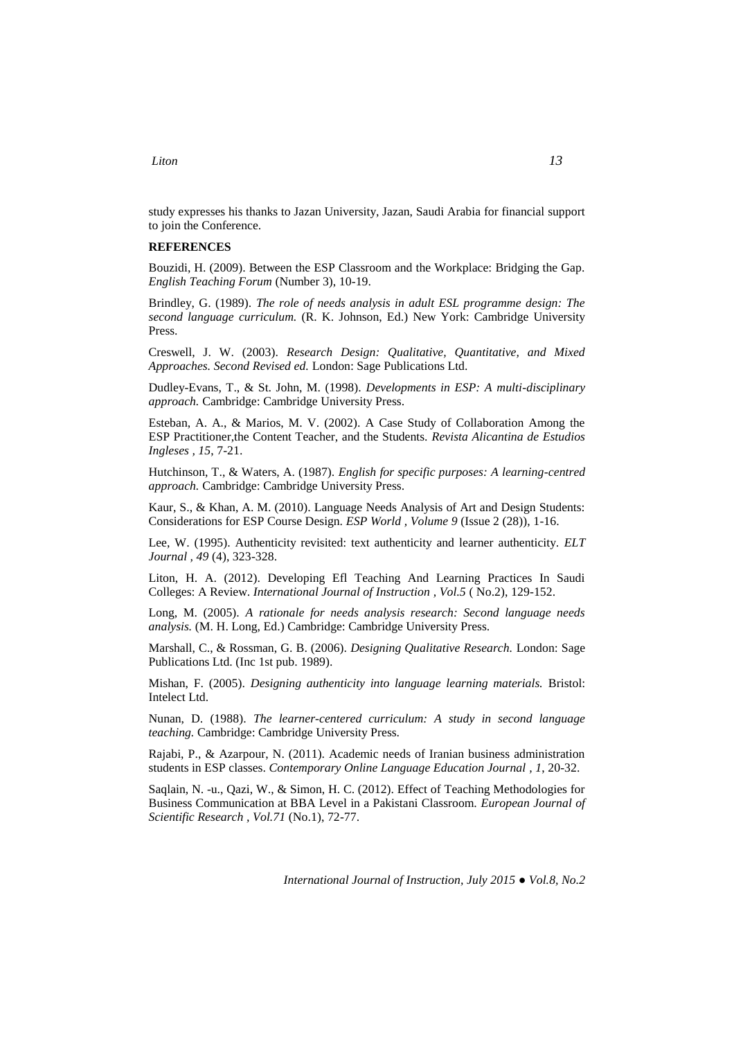# *Liton 13*

study expresses his thanks to Jazan University, Jazan, Saudi Arabia for financial support to join the Conference.

## **REFERENCES**

Bouzidi, H. (2009). Between the ESP Classroom and the Workplace: Bridging the Gap. *English Teaching Forum* (Number 3), 10-19.

Brindley, G. (1989). *The role of needs analysis in adult ESL programme design: The second language curriculum.* (R. K. Johnson, Ed.) New York: Cambridge University Press.

Creswell, J. W. (2003). *Research Design: Qualitative, Quantitative, and Mixed Approaches. Second Revised ed.* London: Sage Publications Ltd.

Dudley-Evans, T., & St. John, M. (1998). *Developments in ESP: A multi-disciplinary approach.* Cambridge: Cambridge University Press.

Esteban, A. A., & Marios, M. V. (2002). A Case Study of Collaboration Among the ESP Practitioner,the Content Teacher, and the Students. *Revista Alicantina de Estudios Ingleses , 15*, 7-21.

Hutchinson, T., & Waters, A. (1987). *English for specific purposes: A learning-centred approach.* Cambridge: Cambridge University Press.

Kaur, S., & Khan, A. M. (2010). Language Needs Analysis of Art and Design Students: Considerations for ESP Course Design. *ESP World , Volume 9* (Issue 2 (28)), 1-16.

Lee, W. (1995). Authenticity revisited: text authenticity and learner authenticity. *ELT Journal , 49* (4), 323-328.

Liton, H. A. (2012). Developing Efl Teaching And Learning Practices In Saudi Colleges: A Review. *International Journal of Instruction , Vol.5* ( No.2), 129-152.

Long, M. (2005). *A rationale for needs analysis research: Second language needs analysis.* (M. H. Long, Ed.) Cambridge: Cambridge University Press.

Marshall, C., & Rossman, G. B. (2006). *Designing Qualitative Research.* London: Sage Publications Ltd. (Inc 1st pub. 1989).

Mishan, F. (2005). *Designing authenticity into language learning materials.* Bristol: Intelect Ltd.

Nunan, D. (1988). *The learner-centered curriculum: A study in second language teaching.* Cambridge: Cambridge University Press.

Rajabi, P., & Azarpour, N. (2011). Academic needs of Iranian business administration students in ESP classes. *Contemporary Online Language Education Journal , 1*, 20-32.

Saqlain, N. -u., Qazi, W., & Simon, H. C. (2012). Effect of Teaching Methodologies for Business Communication at BBA Level in a Pakistani Classroom. *European Journal of Scientific Research , Vol.71* (No.1), 72-77.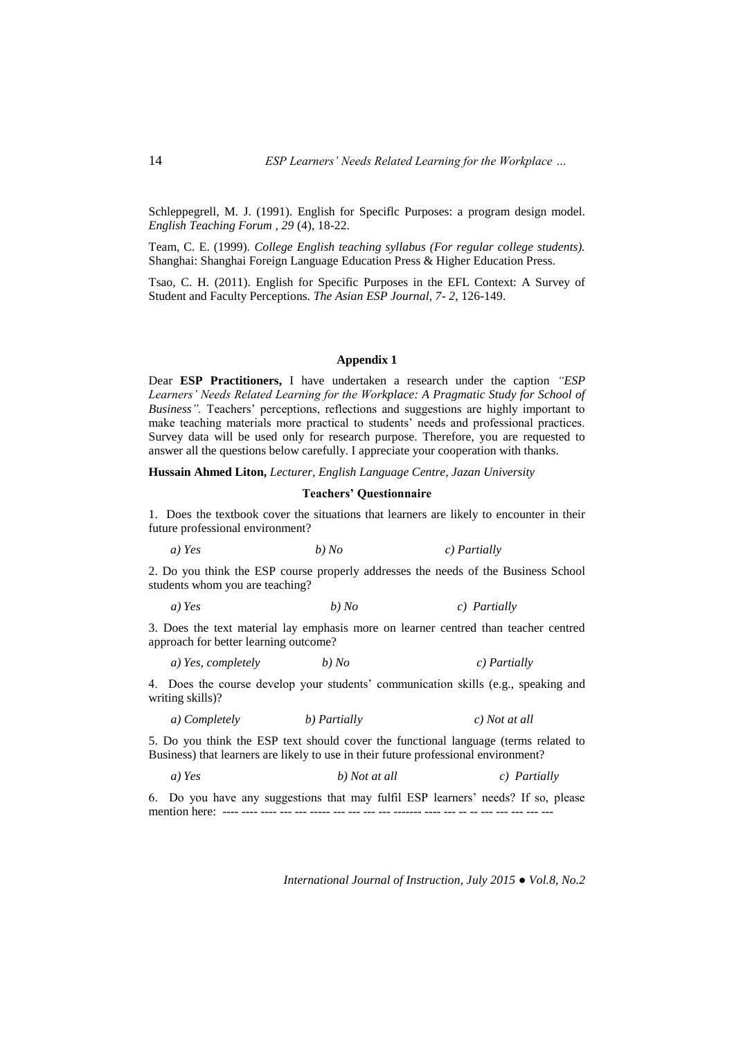Schleppegrell, M. J. (1991). English for Speciflc Purposes: a program design model. *English Teaching Forum , 29* (4), 18-22.

Team, C. E. (1999). *College English teaching syllabus (For regular college students).* Shanghai: Shanghai Foreign Language Education Press & Higher Education Press.

Tsao, C. H. (2011). English for Specific Purposes in the EFL Context: A Survey of Student and Faculty Perceptions. *The Asian ESP Journal, 7- 2*, 126-149.

### **Appendix 1**

Dear **ESP Practitioners,** I have undertaken a research under the caption *"ESP*  Learners' Needs Related Learning for the Workplace: A Pragmatic Study for School of *Business".* Teachers' perceptions, reflections and suggestions are highly important to make teaching materials more practical to students' needs and professional practices. Survey data will be used only for research purpose. Therefore, you are requested to answer all the questions below carefully. I appreciate your cooperation with thanks.

**Hussain Ahmed Liton,** *Lecturer, English Language Centre, Jazan University*

#### **Teachers' Questionnaire**

1. Does the textbook cover the situations that learners are likely to encounter in their future professional environment?

 *a) Yes b) No c) Partially* 

2. Do you think the ESP course properly addresses the needs of the Business School students whom you are teaching?

*a) Yes b) No c) Partially* 

3. Does the text material lay emphasis more on learner centred than teacher centred approach for better learning outcome?

*a) Yes, completely b) No c) Partially*

4. Does the course develop your students' communication skills (e.g., speaking and writing skills)?

*a) Completely b) Partially c) Not at all* 

5. Do you think the ESP text should cover the functional language (terms related to Business) that learners are likely to use in their future professional environment?

*a*) *Yes* b) *Not at all c*) *Partially* 

6. Do you have any suggestions that may fulfil ESP learners' needs? If so, please mention here: ---- ---- ---- --- --- ----- --- --- --- --- ------- ---- --- -- -- --- --- --- --- ---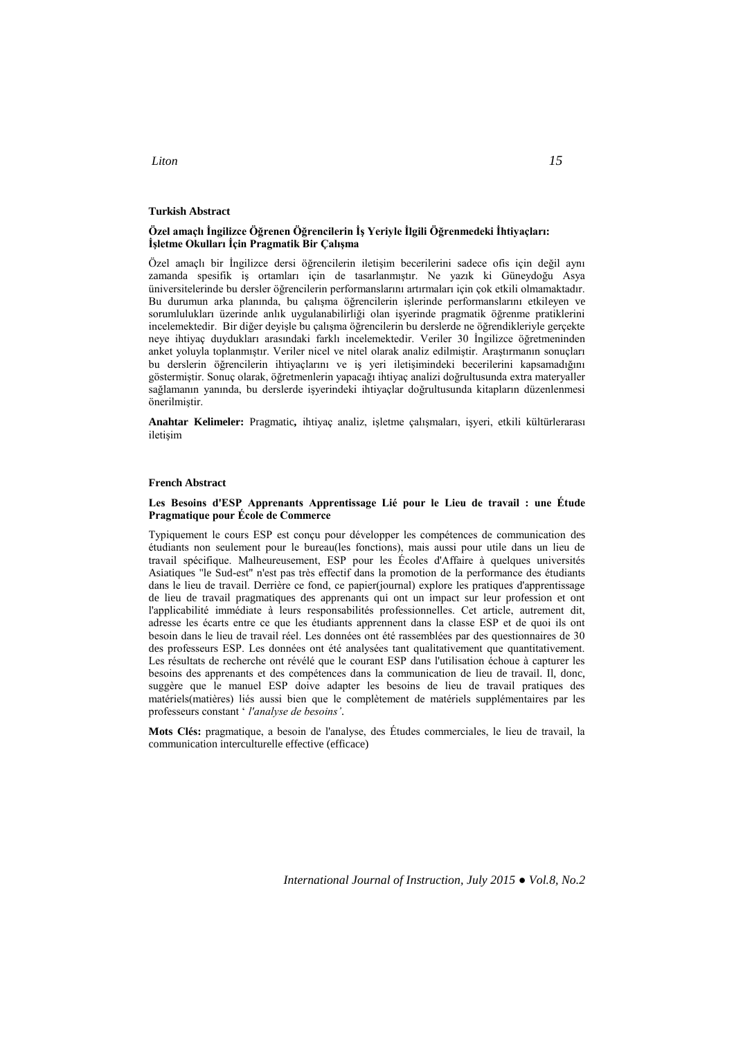### **Turkish Abstract**

### **Özel amaçlı İngilizce Öğrenen Öğrencilerin İş Yeriyle İlgili Öğrenmedeki İhtiyaçları: İşletme Okulları İçin Pragmatik Bir Çalışma**

Özel amaçlı bir İngilizce dersi öğrencilerin iletişim becerilerini sadece ofis için değil aynı zamanda spesifik iş ortamları için de tasarlanmıştır. Ne yazık ki Güneydoğu Asya üniversitelerinde bu dersler öğrencilerin performanslarını artırmaları için çok etkili olmamaktadır. Bu durumun arka planında, bu çalışma öğrencilerin işlerinde performanslarını etkileyen ve sorumlulukları üzerinde anlık uygulanabilirliği olan işyerinde pragmatik öğrenme pratiklerini incelemektedir. Bir diğer deyişle bu çalışma öğrencilerin bu derslerde ne öğrendikleriyle gerçekte neye ihtiyaç duydukları arasındaki farklı incelemektedir. Veriler 30 İngilizce öğretmeninden anket yoluyla toplanmıştır. Veriler nicel ve nitel olarak analiz edilmiştir. Araştırmanın sonuçları bu derslerin öğrencilerin ihtiyaçlarını ve iş yeri iletişimindeki becerilerini kapsamadığını göstermiştir. Sonuç olarak, öğretmenlerin yapacağı ihtiyaç analizi doğrultusunda extra materyaller sağlamanın yanında, bu derslerde işyerindeki ihtiyaçlar doğrultusunda kitapların düzenlenmesi önerilmiştir.

**Anahtar Kelimeler:** Pragmatic*,* ihtiyaç analiz, işletme çalışmaları, işyeri, etkili kültürlerarası iletişim

#### **French Abstract**

### **Les Besoins d'ESP Apprenants Apprentissage Lié pour le Lieu de travail : une Étude Pragmatique pour École de Commerce**

Typiquement le cours ESP est conçu pour développer les compétences de communication des étudiants non seulement pour le bureau(les fonctions), mais aussi pour utile dans un lieu de travail spécifique. Malheureusement, ESP pour les Écoles d'Affaire à quelques universités Asiatiques "le Sud-est" n'est pas très effectif dans la promotion de la performance des étudiants dans le lieu de travail. Derrière ce fond, ce papier(journal) explore les pratiques d'apprentissage de lieu de travail pragmatiques des apprenants qui ont un impact sur leur profession et ont l'applicabilité immédiate à leurs responsabilités professionnelles. Cet article, autrement dit, adresse les écarts entre ce que les étudiants apprennent dans la classe ESP et de quoi ils ont besoin dans le lieu de travail réel. Les données ont été rassemblées par des questionnaires de 30 des professeurs ESP. Les données ont été analysées tant qualitativement que quantitativement. Les résultats de recherche ont révélé que le courant ESP dans l'utilisation échoue à capturer les besoins des apprenants et des compétences dans la communication de lieu de travail. Il, donc, suggère que le manuel ESP doive adapter les besoins de lieu de travail pratiques des matériels(matières) liés aussi bien que le complètement de matériels supplémentaires par les professeurs constant ' *l'analyse de besoins'*.

**Mots Clés:** pragmatique, a besoin de l'analyse, des Études commerciales, le lieu de travail, la communication interculturelle effective (efficace)

*International Journal of Instruction, July 2015 ● Vol.8, No.2*

# *Liton 15*